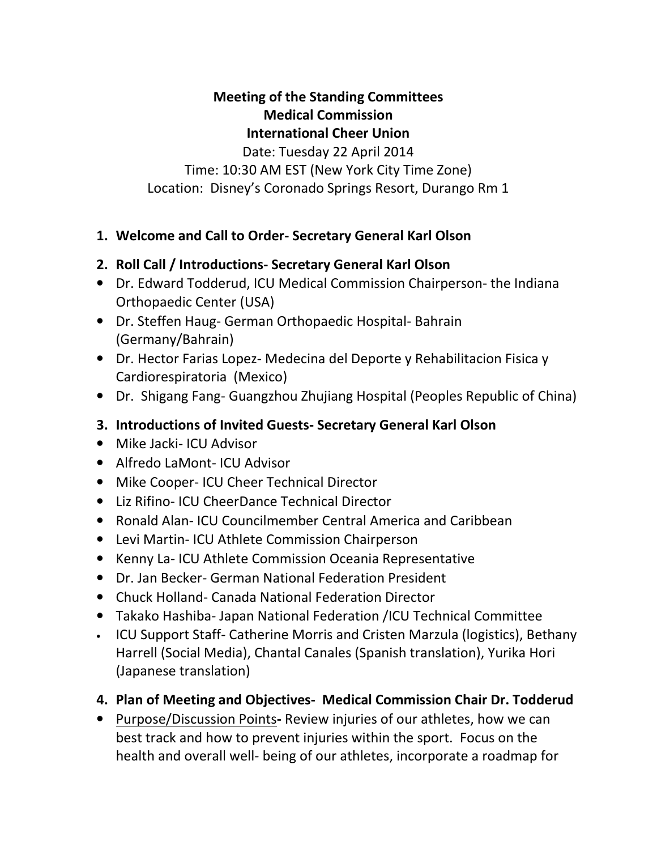### Meeting of the Standing Committees Medical Commission International Cheer Union Date: Tuesday 22 April 2014 Time: 10:30 AM EST (New York City Time Zone) Location: Disney's Coronado Springs Resort, Durango Rm 1

#### 1. Welcome and Call to Order- Secretary General Karl Olson

# 2. Roll Call / Introductions- Secretary General Karl Olson

- Dr. Edward Todderud, ICU Medical Commission Chairperson- the Indiana Orthopaedic Center (USA)
- Dr. Steffen Haug- German Orthopaedic Hospital- Bahrain (Germany/Bahrain)
- Dr. Hector Farias Lopez- Medecina del Deporte y Rehabilitacion Fisica y Cardiorespiratoria (Mexico)
- Dr. Shigang Fang- Guangzhou Zhujiang Hospital (Peoples Republic of China)
- 3. Introductions of Invited Guests- Secretary General Karl Olson
- Mike Jacki- ICU Advisor
- Alfredo LaMont- ICU Advisor
- Mike Cooper- ICU Cheer Technical Director
- Liz Rifino- ICU CheerDance Technical Director
- Ronald Alan- ICU Councilmember Central America and Caribbean
- Levi Martin- ICU Athlete Commission Chairperson
- Kenny La- ICU Athlete Commission Oceania Representative
- Dr. Jan Becker- German National Federation President
- Chuck Holland- Canada National Federation Director
- Takako Hashiba- Japan National Federation /ICU Technical Committee
- ICU Support Staff- Catherine Morris and Cristen Marzula (logistics), Bethany Harrell (Social Media), Chantal Canales (Spanish translation), Yurika Hori (Japanese translation)
- 4. Plan of Meeting and Objectives- Medical Commission Chair Dr. Todderud
- Purpose/Discussion Points- Review injuries of our athletes, how we can best track and how to prevent injuries within the sport. Focus on the health and overall well- being of our athletes, incorporate a roadmap for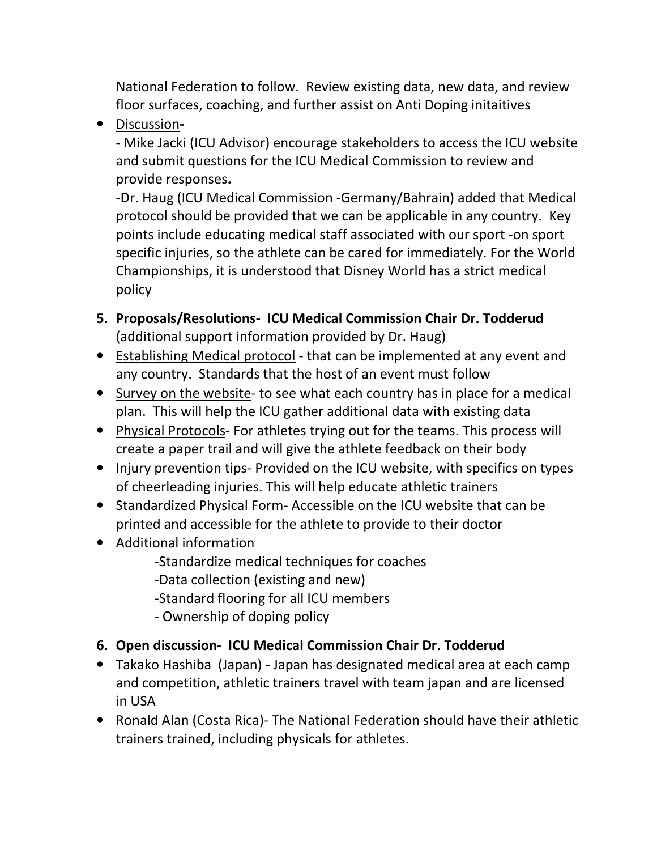National Federation to follow. Review existing data, new data, and review floor surfaces, coaching, and further assist on Anti Doping initaitives

• Discussion-

- Mike Jacki (ICU Advisor) encourage stakeholders to access the ICU website and submit questions for the ICU Medical Commission to review and provide responses.

-Dr. Haug (ICU Medical Commission -Germany/Bahrain) added that Medical protocol should be provided that we can be applicable in any country. Key points include educating medical staff associated with our sport -on sport specific injuries, so the athlete can be cared for immediately. For the World Championships, it is understood that Disney World has a strict medical policy

- 5. Proposals/Resolutions- ICU Medical Commission Chair Dr. Todderud (additional support information provided by Dr. Haug)
- Establishing Medical protocol that can be implemented at any event and any country. Standards that the host of an event must follow
- Survey on the website- to see what each country has in place for a medical plan. This will help the ICU gather additional data with existing data
- Physical Protocols- For athletes trying out for the teams. This process will create a paper trail and will give the athlete feedback on their body
- Injury prevention tips- Provided on the ICU website, with specifics on types of cheerleading injuries. This will help educate athletic trainers
- Standardized Physical Form- Accessible on the ICU website that can be printed and accessible for the athlete to provide to their doctor
- Additional information
	- -Standardize medical techniques for coaches
	- -Data collection (existing and new)
	- -Standard flooring for all ICU members
	- Ownership of doping policy

# 6. Open discussion- ICU Medical Commission Chair Dr. Todderud

- Takako Hashiba (Japan) Japan has designated medical area at each camp and competition, athletic trainers travel with team japan and are licensed in USA
- Ronald Alan (Costa Rica)- The National Federation should have their athletic trainers trained, including physicals for athletes.